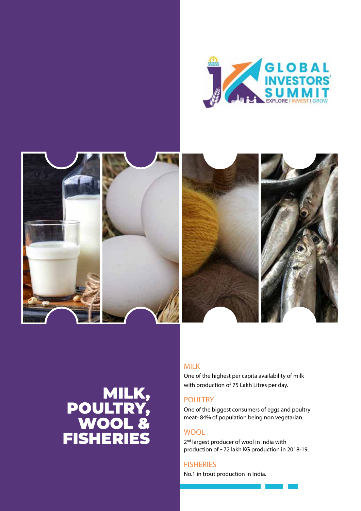



# MILK, POULTRY, WOOL & FISHERIES

#### MILK

One of the highest per capita availability of milk with production of 75 Lakh Litres per day.

#### POULTRY

One of the biggest consumers of eggs and poultry meat- 84% of population being non vegetarian.

#### **WOOL**

2<sup>nd</sup> largest producer of wool in India with production of ~72 lakh KG production in 2018-19.

#### **FISHERIES**

No.1 in trout production in India.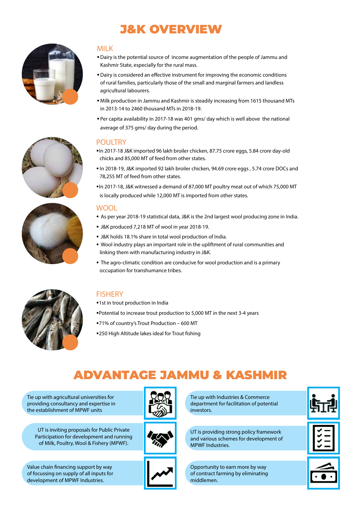### J&K OVERVIEW







#### MILK

- •Dairy is the potential source of income augmentation of the people of Jammu and Kashmir State, especially for the rural mass.
- •Dairy is considered an effective instrument for improving the economic conditions of rural families, particularly those of the small and marginal farmers and landless agricultural labourers.
- •Milk production in Jammu and Kashmir is steadily increasing from 1615 thousand MTs in 2013-14 to 2460 thousand MTs in 2018-19.
- •Per capita availability in 2017-18 was 401 gms/ day which is well above the national average of 375 gms/ day during the period.

#### POULTRY

- •In 2017-18 J&K imported 96 lakh broiler chicken, 87.75 crore eggs, 5.84 crore day-old chicks and 85,000 MT of feed from other states.
- In 2018-19, J&K imported 92 lakh broiler chicken, 94.69 crore eggs , 5.74 crore DOCs and 78,255 MT of feed from other states.
- •In 2017-18, J&K witnessed a demand of 87,000 MT poultry meat out of which 75,000 MT is locally produced while 12,000 MT is imported from other states.

#### WOOL

- As per year 2018-19 statistical data, J&K is the 2nd largest wool producing zone in India.
- J&K produced 7,218 MT of wool in year 2018-19.
- J&K holds 18.1% share in total wool production of India.
- Wool industry plays an important role in the upliftment of rural communities and linking them with manufacturing industry in J&K.
- The agro-climatic condition are conducive for wool production and is a primary occupation for transhumance tribes.



#### **FISHERY**

- •1st in trout production in India
- •Potential to increase trout production to 5,000 MT in the next 3-4 years
- •71% of country's Trout Production 600 MT
- •250 High Altitude lakes ideal for Trout fishing

### ADVANTAGE JAMMU & KASHMIR

Tie up with agricultural universities for providing consultancy and expertise in the establishment of MPWF units



UT is inviting proposals for Public Private Participation for development and running of Milk, Poultry, Wool & Fishery (MPWF).



Tie up with Industries & Commerce department for facilitation of potential investors.

UT is providing strong policy framework and various schemes for development of MPWF Industries.

Opportunity to earn more by way of contract farming by eliminating middlemen.







Value chain financing support by way of focussing on supply of all inputs for development of MPWF Industries.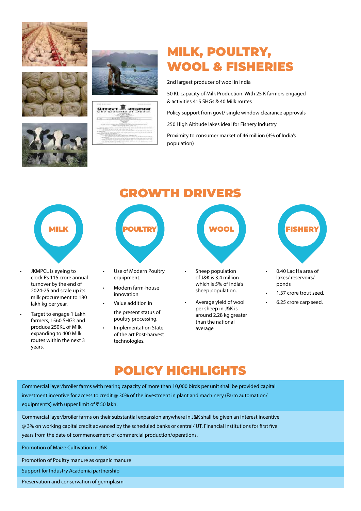









## MILK, POULTRY, WOOL & FISHERIES

2nd largest producer of wool in India

50 KL capacity of Milk Production. With 25 K farmers engaged & activities 415 SHGs & 40 Milk routes

Policy support from govt/ single window clearance approvals

250 High Altitude lakes ideal for Fishery Industry

Proximity to consumer market of 46 million (4% of India's population)

- JKMPCL is eyeing to clock Rs 115 crore annual turnover by the end of 2024-25 and scale up its milk procurement to 180 lakh kg per year.
- Target to engage 1 Lakh farmers, 1560 SHG's and produce 250KL of Milk expanding to 400 Milk routes within the next 3 years.

# GROWTH DRIVERS



- Use of Modern Poultry equipment.
- Modern farm-house innovation

• Value addition in the present status of poultry processing.

• Implementation State of the art Post-harvest technologies.



- Sheep population of J&K is 3.4 million which is 5% of India's sheep population.
- Average yield of wool per sheep in J&K is around 2.28 kg greater than the national average



- 0.40 Lac Ha area of lakes/ reservoirs/ ponds
- 1.37 crore trout seed.
- 6.25 crore carp seed.

### POLICY HIGHLIGHTS

Commercial layer/broiler farms with rearing capacity of more than 10,000 birds per unit shall be provided capital investment incentive for access to credit @ 30% of the investment in plant and machinery (Farm automation/ equipment's) with upper limit of ₹ 50 lakh.

Commercial layer/broiler farms on their substantial expansion anywhere in J&K shall be given an interest incentive @ 3% on working capital credit advanced by the scheduled banks or central/ UT, Financial Institutions for first five years from the date of commencement of commercial production/operations.

Promotion of Maize Cultivation in J&K

Promotion of Poultry manure as organic manure

Support for Industry Academia partnership

Preservation and conservation of germplasm